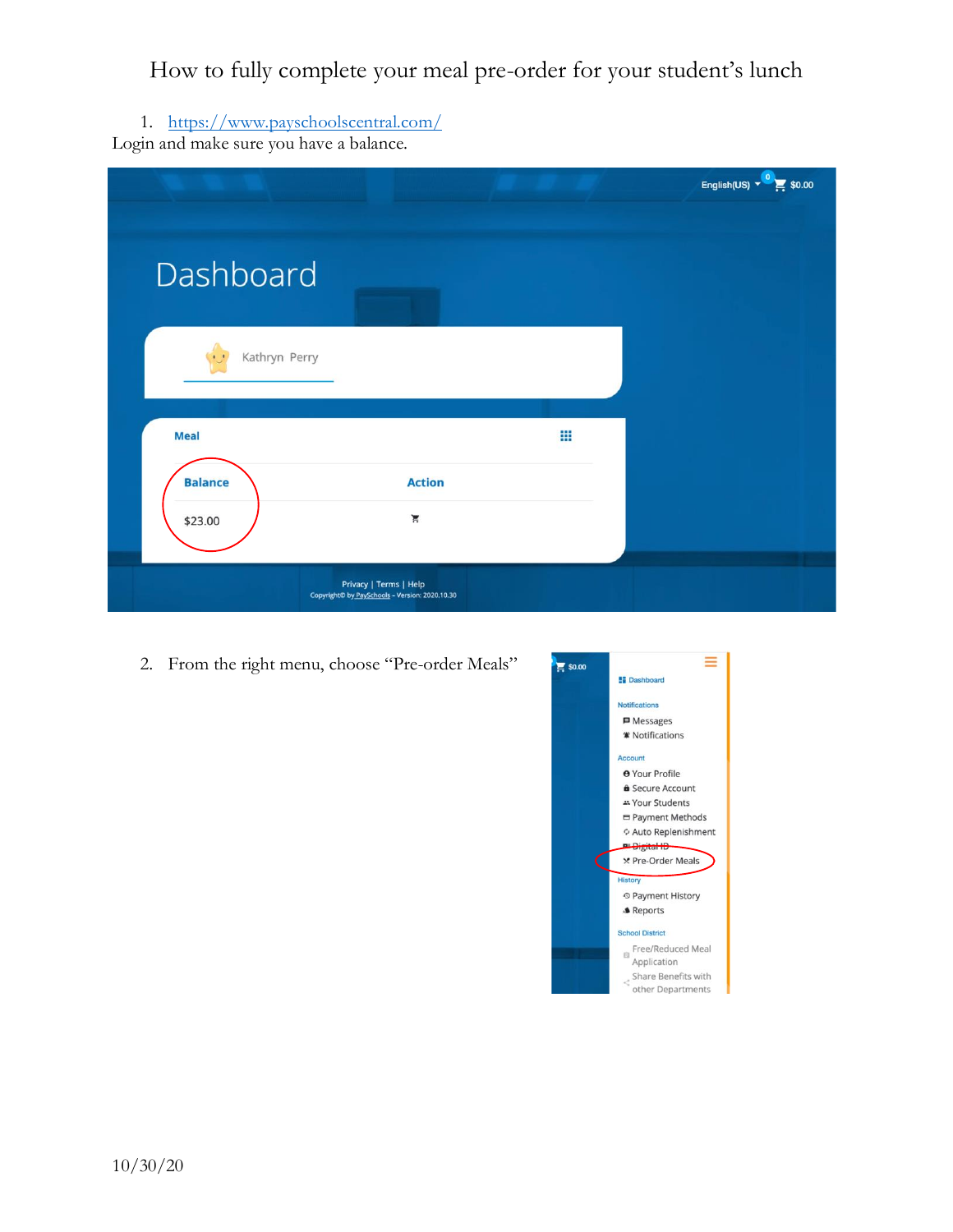1. <https://www.payschoolscentral.com/> Login and make sure you have a balance.

|                |                                                                          |   | English(US) $\sqrt{\frac{0}{\pi}}$ \$0.00 |
|----------------|--------------------------------------------------------------------------|---|-------------------------------------------|
|                |                                                                          |   |                                           |
| Dashboard      |                                                                          |   |                                           |
| Kathryn Perry  |                                                                          |   |                                           |
| <b>Meal</b>    |                                                                          | ₩ |                                           |
| <b>Balance</b> | <b>Action</b>                                                            |   |                                           |
| \$23.00        | Ă                                                                        |   |                                           |
|                | Privacy   Terms   Help<br>Copyright© by PaySchools - Version: 2020.10.30 |   |                                           |

2. From the right menu, choose "Pre-order Meals"

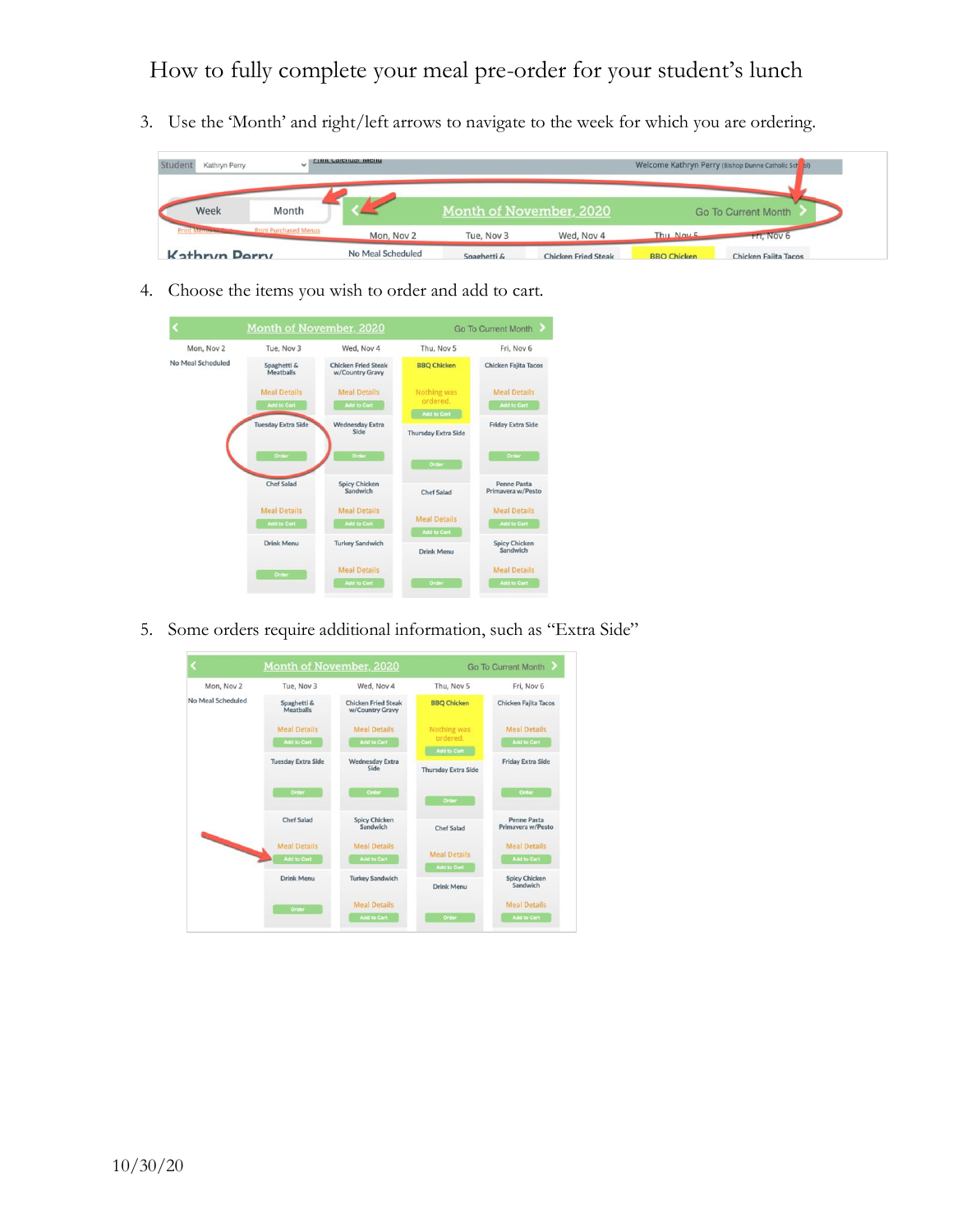3. Use the 'Month' and right/left arrows to navigate to the week for which you are ordering.



4. Choose the items you wish to order and add to cart.



5. Some orders require additional information, such as "Extra Side"

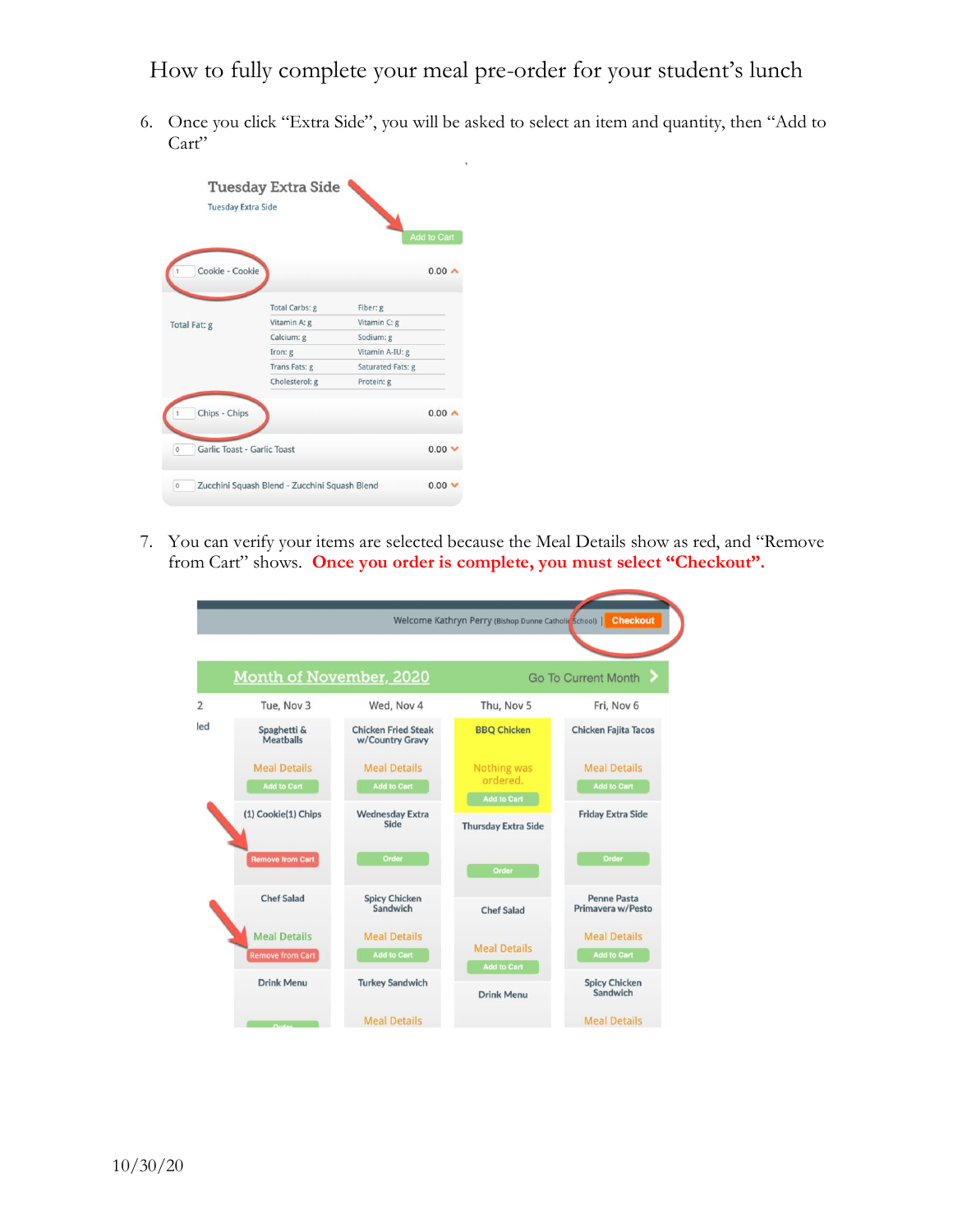6. Once you click "Extra Side", you will be asked to select an item and quantity, then "Add to Cart"

|                                        | <b>Tuesday Extra Side</b><br><b>Tuesday Extra Side</b> |                                               | <b>Add to Cart</b>         |
|----------------------------------------|--------------------------------------------------------|-----------------------------------------------|----------------------------|
| Cookie - Cookie                        |                                                        |                                               | $0.00 -$                   |
|                                        | Total Carbs: g                                         | Fiber: g                                      |                            |
| Total Fat: g                           | Vitamin A: g                                           | Vitamin C: g                                  |                            |
|                                        | Calcium: g                                             | Sodium: g                                     |                            |
|                                        | Iron: g                                                | Vitamin A-IU: g                               |                            |
|                                        | Trans Fats: g                                          | Saturated Fats: g                             |                            |
|                                        | Cholesterol: g                                         | Protein: g                                    |                            |
| Chips - Chips                          |                                                        |                                               | $0.00 -$                   |
| Garlic Toast - Garlic Toast<br>$\circ$ |                                                        |                                               | $0.00 \blacktriangleright$ |
|                                        |                                                        | Zucchini Squash Blend - Zucchini Squash Blend | 0.00                       |

7. You can verify your items are selected because the Meal Details show as red, and "Remove from Cart" shows. **Once you order is complete, you must select "Checkout".**